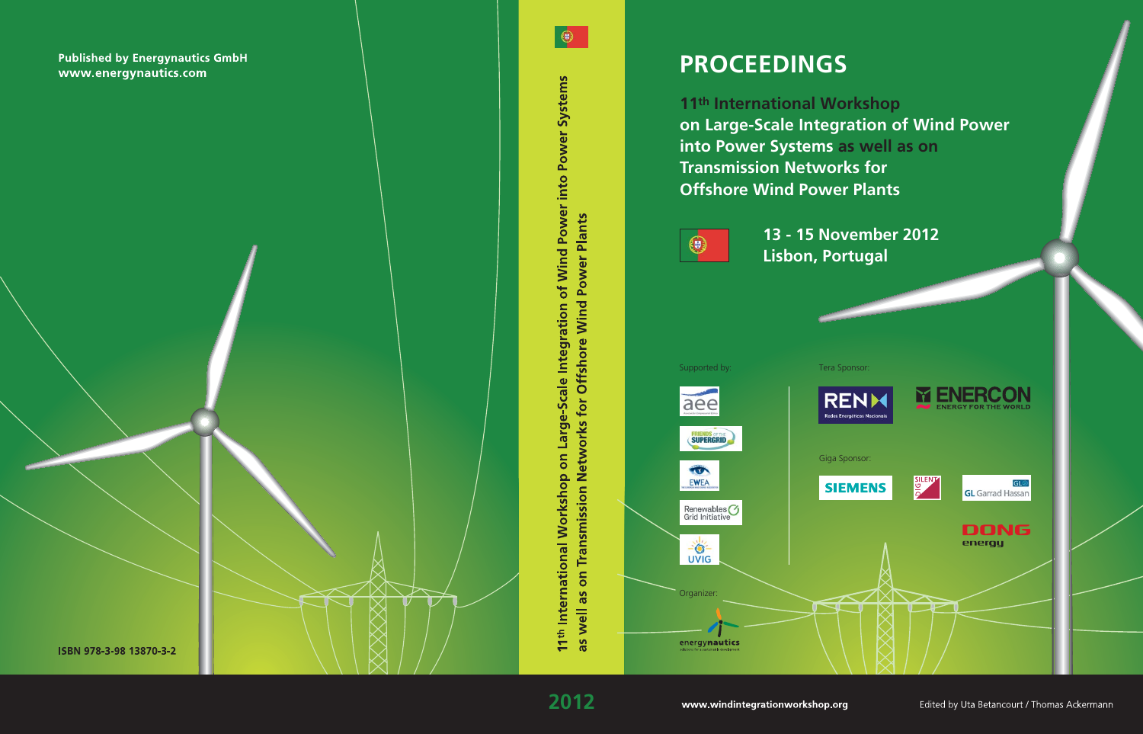# **PROCEEDINGS**

11th International Workshop on Large-Scale Integration of Wind Power into Power Systems as well as on **Transmission Networks for Offshore Wind Power Plants** 

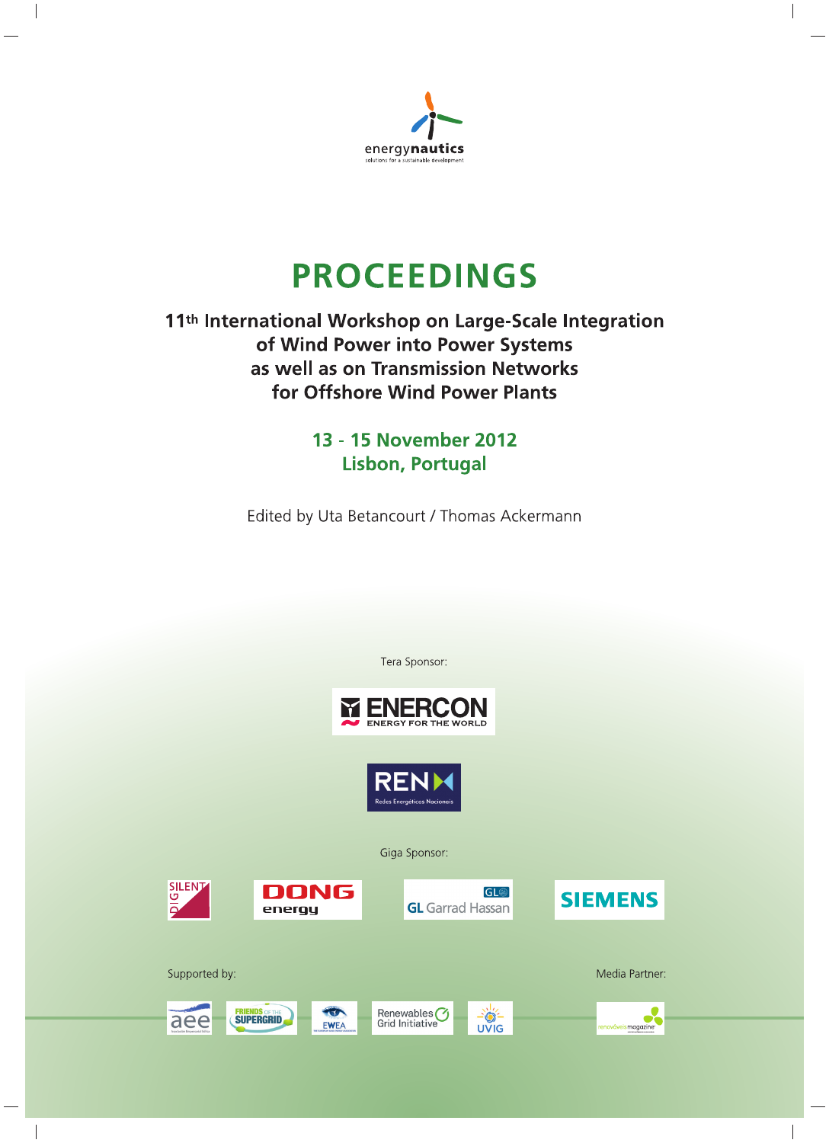

# **PROCEEDINGS**

# 11<sup>th</sup> International Workshop on Large-Scale Integration of Wind Power into Power Systems as well as on Transmission Networks for Offshore Wind Power Plants

13 - 15 November 2012 **Lisbon, Portugal** 

Edited by Uta Betancourt / Thomas Ackermann

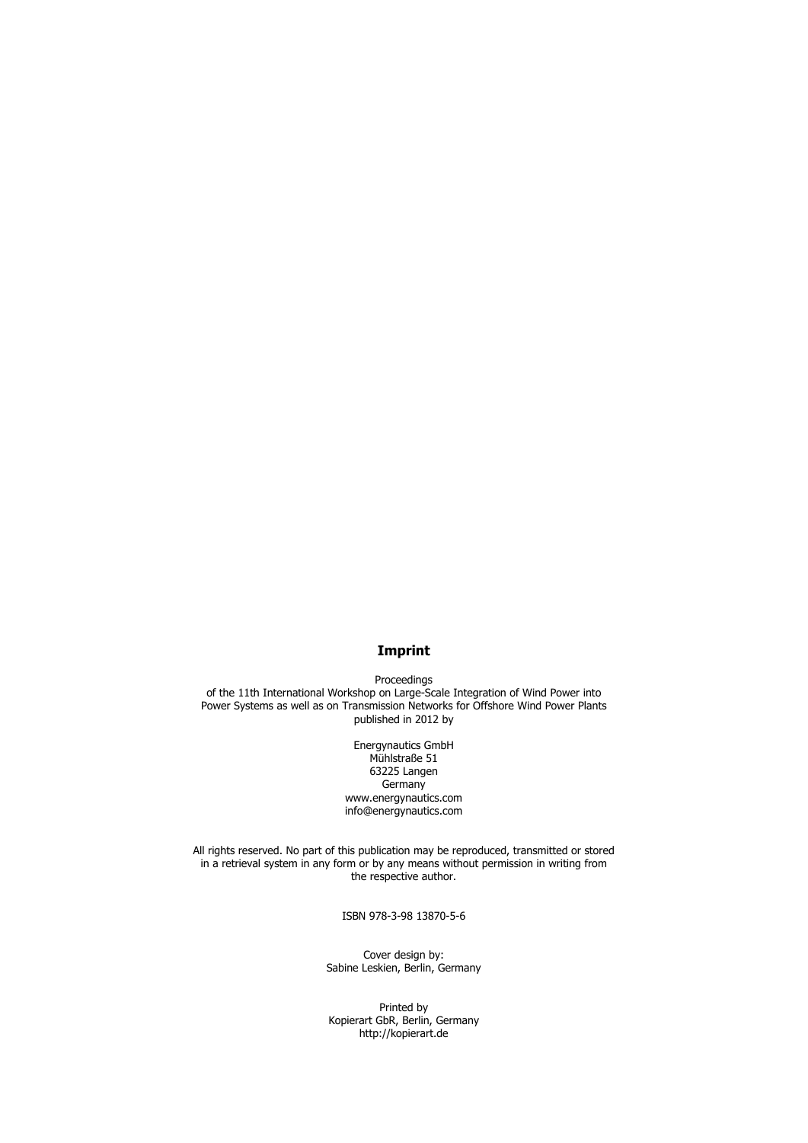# **Imprint**

Proceedings of the 11th International Workshop on Large-Scale Integration of Wind Power into Power Systems as well as on Transmission Networks for Offshore Wind Power Plants published in 2012 by

> Energynautics GmbH Mühlstraße 51 63225 Langen **Germany** www.energynautics.com info@energynautics.com

All rights reserved. No part of this publication may be reproduced, transmitted or stored in a retrieval system in any form or by any means without permission in writing from the respective author.

ISBN 978-3-98 13870-5-6

Cover design by: Sabine Leskien, Berlin, Germany

Printed by Kopierart GbR, Berlin, Germany http://kopierart.de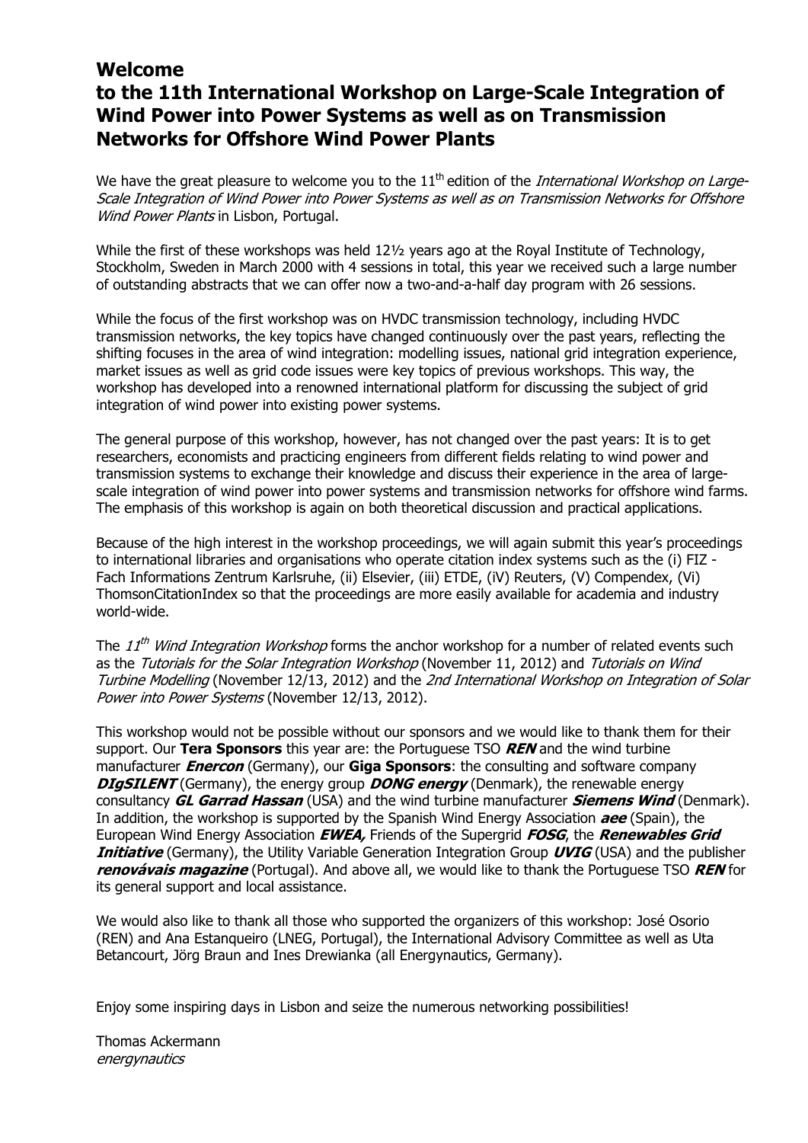# **Welcome to the 11th International Workshop on Large-Scale Integration of Wind Power into Power Systems as well as on Transmission Networks for Offshore Wind Power Plants**

We have the great pleasure to welcome you to the  $11<sup>th</sup>$  edition of the *International Workshop on Large-*Scale Integration of Wind Power into Power Systems as well as on Transmission Networks for Offshore Wind Power Plants in Lisbon, Portugal.

While the first of these workshops was held  $12\frac{1}{2}$  years ago at the Royal Institute of Technology, Stockholm, Sweden in March 2000 with 4 sessions in total, this year we received such a large number of outstanding abstracts that we can offer now a two-and-a-half day program with 26 sessions.

While the focus of the first workshop was on HVDC transmission technology, including HVDC transmission networks, the key topics have changed continuously over the past years, reflecting the shifting focuses in the area of wind integration: modelling issues, national grid integration experience, market issues as well as grid code issues were key topics of previous workshops. This way, the workshop has developed into a renowned international platform for discussing the subject of grid integration of wind power into existing power systems.

The general purpose of this workshop, however, has not changed over the past years: It is to get researchers, economists and practicing engineers from different fields relating to wind power and transmission systems to exchange their knowledge and discuss their experience in the area of largescale integration of wind power into power systems and transmission networks for offshore wind farms. The emphasis of this workshop is again on both theoretical discussion and practical applications.

Because of the high interest in the workshop proceedings, we will again submit this year's proceedings to international libraries and organisations who operate citation index systems such as the (i) FIZ - Fach Informations Zentrum Karlsruhe, (ii) Elsevier, (iii) ETDE, (iV) Reuters, (V) Compendex, (Vi) ThomsonCitationIndex so that the proceedings are more easily available for academia and industry world-wide.

The  $11<sup>th</sup>$  Wind Integration Workshop forms the anchor workshop for a number of related events such as the Tutorials for the Solar Integration Workshop (November 11, 2012) and Tutorials on Wind Turbine Modelling (November 12/13, 2012) and the 2nd International Workshop on Integration of Solar Power into Power Systems (November 12/13, 2012).

This workshop would not be possible without our sponsors and we would like to thank them for their support. Our **Tera Sponsors** this year are: the Portuguese TSO **REN** and the wind turbine manufacturer **Enercon** (Germany), our **Giga Sponsors**: the consulting and software company **DIgSILENT** (Germany), the energy group **DONG energy** (Denmark), the renewable energy consultancy **GL Garrad Hassan** (USA) and the wind turbine manufacturer **Siemens Wind** (Denmark). In addition, the workshop is supported by the Spanish Wind Energy Association **aee** (Spain), the European Wind Energy Association **EWEA,** Friends of the Supergrid **FOSG**, the **Renewables Grid Initiative** (Germany), the Utility Variable Generation Integration Group **UVIG** (USA) and the publisher **renovávais magazine** (Portugal). And above all, we would like to thank the Portuguese TSO **REN** for its general support and local assistance.

We would also like to thank all those who supported the organizers of this workshop: José Osorio (REN) and Ana Estanqueiro (LNEG, Portugal), the International Advisory Committee as well as Uta Betancourt, Jörg Braun and Ines Drewianka (all Energynautics, Germany).

Enjoy some inspiring days in Lisbon and seize the numerous networking possibilities!

Thomas Ackermann energynautics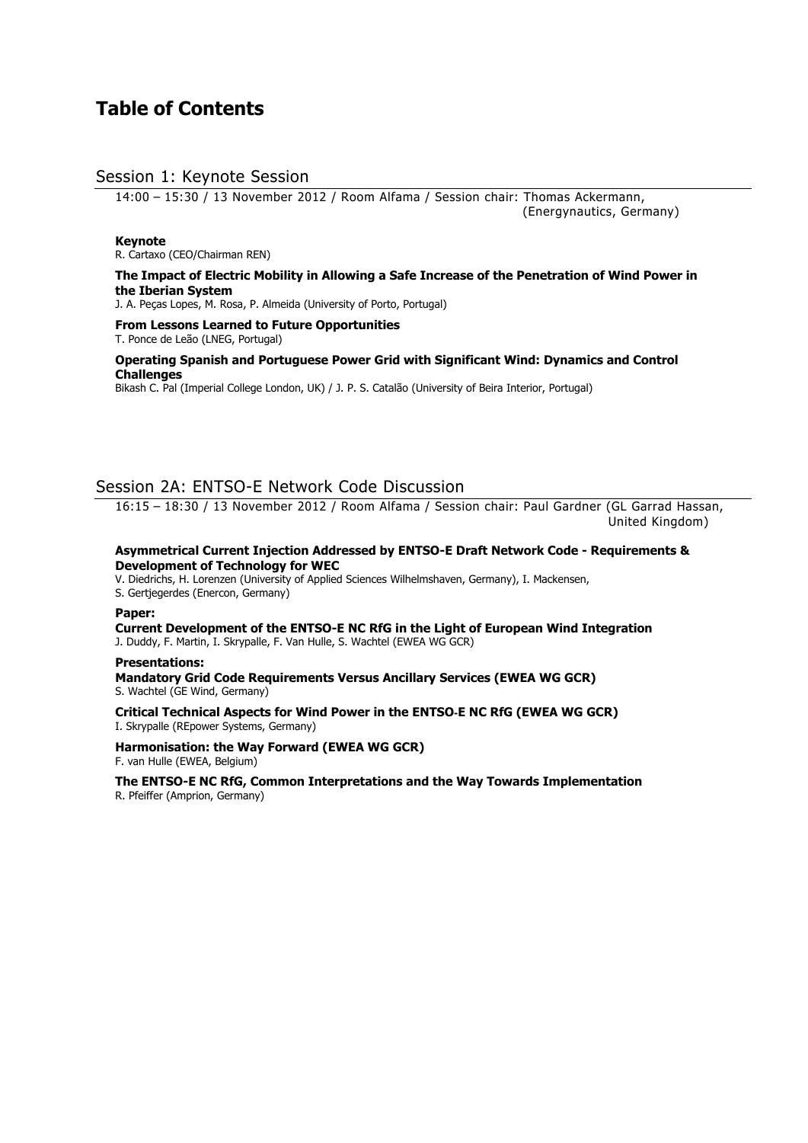# **Table of Contents**

# Session 1: Keynote Session

14:00 – 15:30 / 13 November 2012 / Room Alfama / Session chair: Thomas Ackermann, (Energynautics, Germany)

#### **Keynote**

R. Cartaxo (CEO/Chairman REN)

#### **The Impact of Electric Mobility in Allowing a Safe Increase of the Penetration of Wind Power in the Iberian System**

J. A. Peças Lopes, M. Rosa, P. Almeida (University of Porto, Portugal)

# **From Lessons Learned to Future Opportunities**

T. Ponce de Leão (LNEG, Portugal)

#### **Operating Spanish and Portuguese Power Grid with Significant Wind: Dynamics and Control Challenges**

Bikash C. Pal (Imperial College London, UK) / J. P. S. Catalão (University of Beira Interior, Portugal)

# Session 2A: ENTSO-E Network Code Discussion

16:15 – 18:30 / 13 November 2012 / Room Alfama / Session chair: Paul Gardner (GL Garrad Hassan, United Kingdom)

#### **Asymmetrical Current Injection Addressed by ENTSO-E Draft Network Code - Requirements & Development of Technology for WEC**

V. Diedrichs, H. Lorenzen (University of Applied Sciences Wilhelmshaven, Germany), I. Mackensen,

S. Gertjegerdes (Enercon, Germany)

#### **Paper:**

**Current Development of the ENTSO-E NC RfG in the Light of European Wind Integration**  J. Duddy, F. Martin, I. Skrypalle, F. Van Hulle, S. Wachtel (EWEA WG GCR)

# **Presentations:**

**Mandatory Grid Code Requirements Versus Ancillary Services (EWEA WG GCR)**  S. Wachtel (GE Wind, Germany)

**Critical Technical Aspects for Wind Power in the ENTSO**‐**E NC RfG (EWEA WG GCR)**  I. Skrypalle (REpower Systems, Germany)

**Harmonisation: the Way Forward (EWEA WG GCR)**  F. van Hulle (EWEA, Belgium)

**The ENTSO-E NC RfG, Common Interpretations and the Way Towards Implementation**  R. Pfeiffer (Amprion, Germany)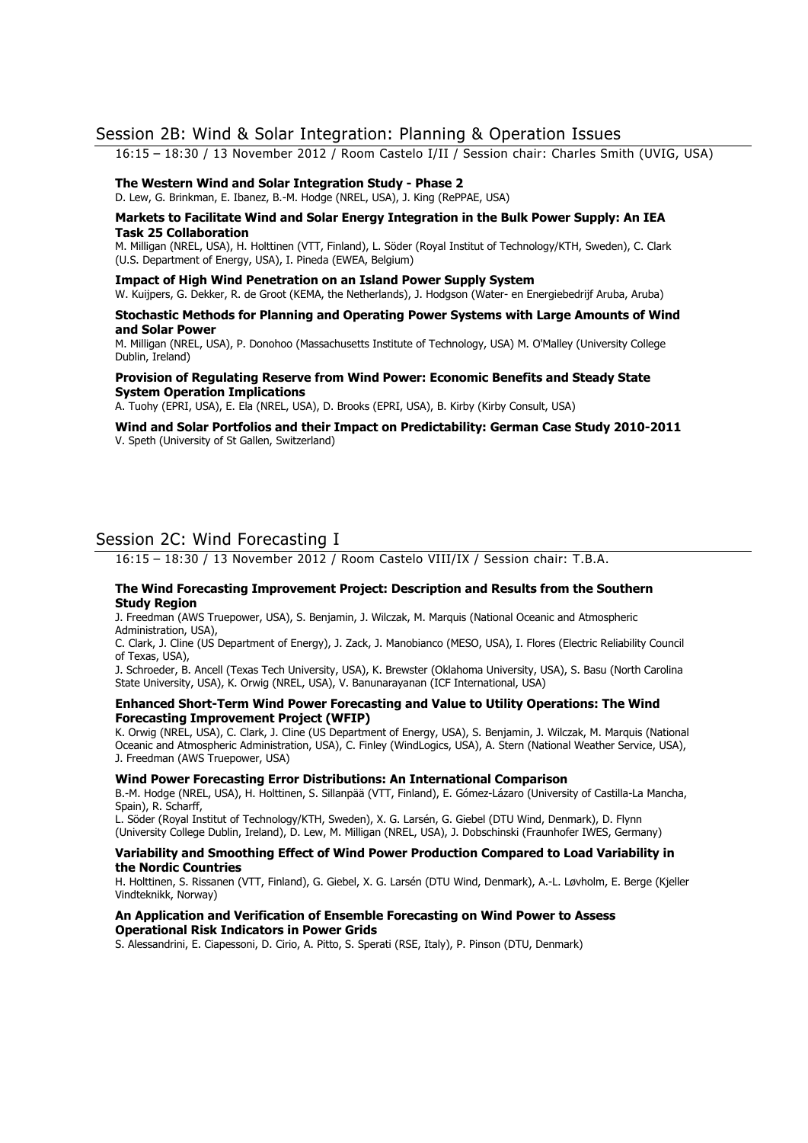# Session 2B: Wind & Solar Integration: Planning & Operation Issues

16:15 – 18:30 / 13 November 2012 / Room Castelo I/II / Session chair: Charles Smith (UVIG, USA)

#### **The Western Wind and Solar Integration Study - Phase 2**

D. Lew, G. Brinkman, E. Ibanez, B.-M. Hodge (NREL, USA), J. King (RePPAE, USA)

#### **Markets to Facilitate Wind and Solar Energy Integration in the Bulk Power Supply: An IEA Task 25 Collaboration**

M. Milligan (NREL, USA), H. Holttinen (VTT, Finland), L. Söder (Royal Institut of Technology/KTH, Sweden), C. Clark (U.S. Department of Energy, USA), I. Pineda (EWEA, Belgium)

#### **Impact of High Wind Penetration on an Island Power Supply System**

W. Kuijpers, G. Dekker, R. de Groot (KEMA, the Netherlands), J. Hodgson (Water- en Energiebedrijf Aruba, Aruba)

#### **Stochastic Methods for Planning and Operating Power Systems with Large Amounts of Wind and Solar Power**

M. Milligan (NREL, USA), P. Donohoo (Massachusetts Institute of Technology, USA) M. O'Malley (University College Dublin, Ireland)

#### **Provision of Regulating Reserve from Wind Power: Economic Benefits and Steady State System Operation Implications**

A. Tuohy (EPRI, USA), E. Ela (NREL, USA), D. Brooks (EPRI, USA), B. Kirby (Kirby Consult, USA)

#### **Wind and Solar Portfolios and their Impact on Predictability: German Case Study 2010-2011**  V. Speth (University of St Gallen, Switzerland)

# Session 2C: Wind Forecasting I

16:15 – 18:30 / 13 November 2012 / Room Castelo VIII/IX / Session chair: T.B.A.

#### **The Wind Forecasting Improvement Project: Description and Results from the Southern Study Region**

J. Freedman (AWS Truepower, USA), S. Benjamin, J. Wilczak, M. Marquis (National Oceanic and Atmospheric Administration, USA),

C. Clark, J. Cline (US Department of Energy), J. Zack, J. Manobianco (MESO, USA), I. Flores (Electric Reliability Council of Texas, USA),

J. Schroeder, B. Ancell (Texas Tech University, USA), K. Brewster (Oklahoma University, USA), S. Basu (North Carolina State University, USA), K. Orwig (NREL, USA), V. Banunarayanan (ICF International, USA)

#### **Enhanced Short-Term Wind Power Forecasting and Value to Utility Operations: The Wind Forecasting Improvement Project (WFIP)**

K. Orwig (NREL, USA), C. Clark, J. Cline (US Department of Energy, USA), S. Benjamin, J. Wilczak, M. Marquis (National Oceanic and Atmospheric Administration, USA), C. Finley (WindLogics, USA), A. Stern (National Weather Service, USA), J. Freedman (AWS Truepower, USA)

#### **Wind Power Forecasting Error Distributions: An International Comparison**

B.-M. Hodge (NREL, USA), H. Holttinen, S. Sillanpää (VTT, Finland), E. Gómez-Lázaro (University of Castilla-La Mancha, Spain), R. Scharff,

L. Söder (Royal Institut of Technology/KTH, Sweden), X. G. Larsén, G. Giebel (DTU Wind, Denmark), D. Flynn (University College Dublin, Ireland), D. Lew, M. Milligan (NREL, USA), J. Dobschinski (Fraunhofer IWES, Germany)

#### **Variability and Smoothing Effect of Wind Power Production Compared to Load Variability in the Nordic Countries**

H. Holttinen, S. Rissanen (VTT, Finland), G. Giebel, X. G. Larsén (DTU Wind, Denmark), A.-L. Løvholm, E. Berge (Kjeller Vindteknikk, Norway)

#### **An Application and Verification of Ensemble Forecasting on Wind Power to Assess Operational Risk Indicators in Power Grids**

S. Alessandrini, E. Ciapessoni, D. Cirio, A. Pitto, S. Sperati (RSE, Italy), P. Pinson (DTU, Denmark)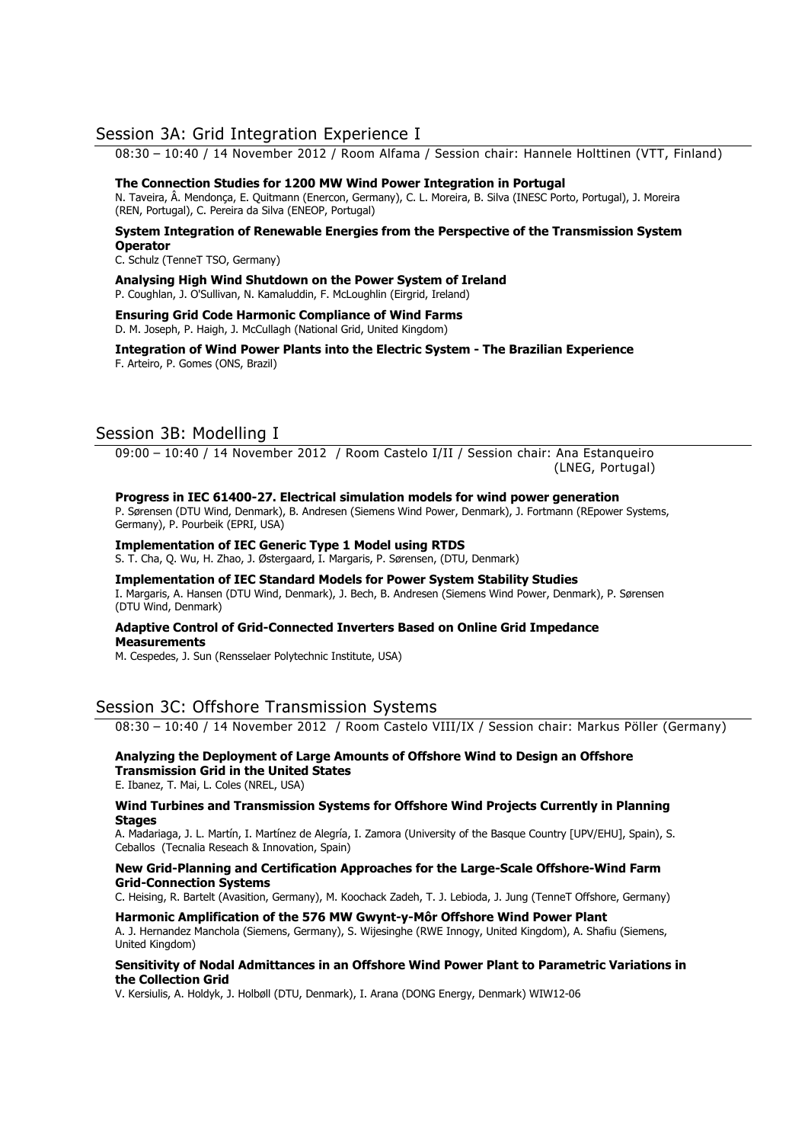# Session 3A: Grid Integration Experience I

08:30 – 10:40 / 14 November 2012 / Room Alfama / Session chair: Hannele Holttinen (VTT, Finland)

#### **The Connection Studies for 1200 MW Wind Power Integration in Portugal**

N. Taveira, Â. Mendonça, E. Quitmann (Enercon, Germany), C. L. Moreira, B. Silva (INESC Porto, Portugal), J. Moreira (REN, Portugal), C. Pereira da Silva (ENEOP, Portugal)

#### **System Integration of Renewable Energies from the Perspective of the Transmission System Operator**

C. Schulz (TenneT TSO, Germany)

**Analysing High Wind Shutdown on the Power System of Ireland**  P. Coughlan, J. O'Sullivan, N. Kamaluddin, F. McLoughlin (Eirgrid, Ireland)

#### **Ensuring Grid Code Harmonic Compliance of Wind Farms**  D. M. Joseph, P. Haigh, J. McCullagh (National Grid, United Kingdom)

**Integration of Wind Power Plants into the Electric System - The Brazilian Experience**  F. Arteiro, P. Gomes (ONS, Brazil)

# Session 3B: Modelling I

09:00 – 10:40 / 14 November 2012 / Room Castelo I/II / Session chair: Ana Estanqueiro (LNEG, Portugal)

#### **Progress in IEC 61400-27. Electrical simulation models for wind power generation**

P. Sørensen (DTU Wind, Denmark), B. Andresen (Siemens Wind Power, Denmark), J. Fortmann (REpower Systems, Germany), P. Pourbeik (EPRI, USA)

## **Implementation of IEC Generic Type 1 Model using RTDS**

S. T. Cha, Q. Wu, H. Zhao, J. Østergaard, I. Margaris, P. Sørensen, (DTU, Denmark)

#### **Implementation of IEC Standard Models for Power System Stability Studies**  I. Margaris, A. Hansen (DTU Wind, Denmark), J. Bech, B. Andresen (Siemens Wind Power, Denmark), P. Sørensen (DTU Wind, Denmark)

## **Adaptive Control of Grid-Connected Inverters Based on Online Grid Impedance Measurements**

M. Cespedes, J. Sun (Rensselaer Polytechnic Institute, USA)

# Session 3C: Offshore Transmission Systems

08:30 – 10:40 / 14 November 2012 / Room Castelo VIII/IX / Session chair: Markus Pöller (Germany)

## **Analyzing the Deployment of Large Amounts of Offshore Wind to Design an Offshore Transmission Grid in the United States**

E. Ibanez, T. Mai, L. Coles (NREL, USA)

#### **Wind Turbines and Transmission Systems for Offshore Wind Projects Currently in Planning Stages**

A. Madariaga, J. L. Martín, I. Martínez de Alegría, I. Zamora (University of the Basque Country [UPV/EHU], Spain), S. Ceballos (Tecnalia Reseach & Innovation, Spain)

#### **New Grid-Planning and Certification Approaches for the Large-Scale Offshore-Wind Farm Grid-Connection Systems**

C. Heising, R. Bartelt (Avasition, Germany), M. Koochack Zadeh, T. J. Lebioda, J. Jung (TenneT Offshore, Germany)

#### **Harmonic Amplification of the 576 MW Gwynt-y-Môr Offshore Wind Power Plant**

A. J. Hernandez Manchola (Siemens, Germany), S. Wijesinghe (RWE Innogy, United Kingdom), A. Shafiu (Siemens, United Kingdom)

#### **Sensitivity of Nodal Admittances in an Offshore Wind Power Plant to Parametric Variations in the Collection Grid**

V. Kersiulis, A. Holdyk, J. Holbøll (DTU, Denmark), I. Arana (DONG Energy, Denmark) WIW12-06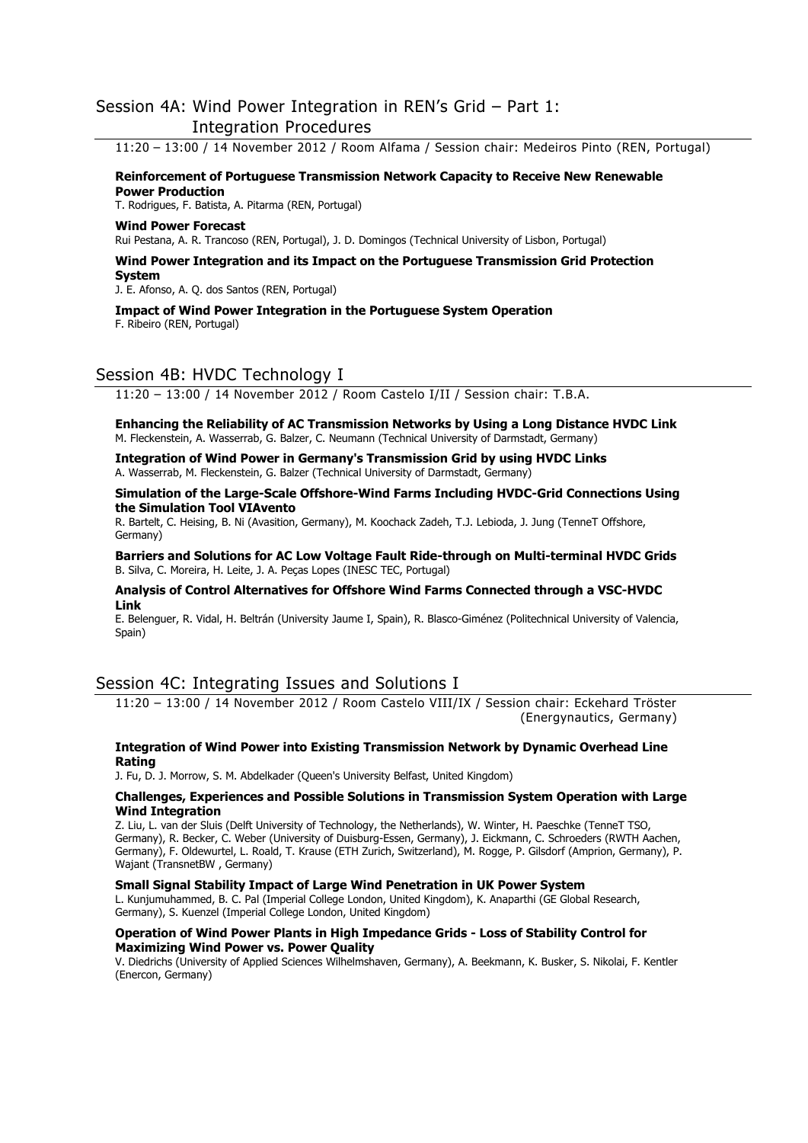# Session 4A: Wind Power Integration in REN's Grid – Part 1: Integration Procedures

11:20 – 13:00 / 14 November 2012 / Room Alfama / Session chair: Medeiros Pinto (REN, Portugal)

**Reinforcement of Portuguese Transmission Network Capacity to Receive New Renewable Power Production**  T. Rodrigues, F. Batista, A. Pitarma (REN, Portugal)

# **Wind Power Forecast**

Rui Pestana, A. R. Trancoso (REN, Portugal), J. D. Domingos (Technical University of Lisbon, Portugal)

#### **Wind Power Integration and its Impact on the Portuguese Transmission Grid Protection System**

J. E. Afonso, A. Q. dos Santos (REN, Portugal)

#### **Impact of Wind Power Integration in the Portuguese System Operation**  F. Ribeiro (REN, Portugal)

# Session 4B: HVDC Technology I

11:20 – 13:00 / 14 November 2012 / Room Castelo I/II / Session chair: T.B.A.

**Enhancing the Reliability of AC Transmission Networks by Using a Long Distance HVDC Link**  M. Fleckenstein, A. Wasserrab, G. Balzer, C. Neumann (Technical University of Darmstadt, Germany)

#### **Integration of Wind Power in Germany's Transmission Grid by using HVDC Links**  A. Wasserrab, M. Fleckenstein, G. Balzer (Technical University of Darmstadt, Germany)

**Simulation of the Large-Scale Offshore-Wind Farms Including HVDC-Grid Connections Using the Simulation Tool VIAvento** 

R. Bartelt, C. Heising, B. Ni (Avasition, Germany), M. Koochack Zadeh, T.J. Lebioda, J. Jung (TenneT Offshore, Germany)

**Barriers and Solutions for AC Low Voltage Fault Ride-through on Multi-terminal HVDC Grids**  B. Silva, C. Moreira, H. Leite, J. A. Peças Lopes (INESC TEC, Portugal)

#### **Analysis of Control Alternatives for Offshore Wind Farms Connected through a VSC-HVDC Link**

E. Belenguer, R. Vidal, H. Beltrán (University Jaume I, Spain), R. Blasco-Giménez (Politechnical University of Valencia, Spain)

# Session 4C: Integrating Issues and Solutions I

11:20 – 13:00 / 14 November 2012 / Room Castelo VIII/IX / Session chair: Eckehard Tröster (Energynautics, Germany)

#### **Integration of Wind Power into Existing Transmission Network by Dynamic Overhead Line Rating**

J. Fu, D. J. Morrow, S. M. Abdelkader (Queen's University Belfast, United Kingdom)

#### **Challenges, Experiences and Possible Solutions in Transmission System Operation with Large Wind Integration**

Z. Liu, L. van der Sluis (Delft University of Technology, the Netherlands), W. Winter, H. Paeschke (TenneT TSO, Germany), R. Becker, C. Weber (University of Duisburg-Essen, Germany), J. Eickmann, C. Schroeders (RWTH Aachen, Germany), F. Oldewurtel, L. Roald, T. Krause (ETH Zurich, Switzerland), M. Rogge, P. Gilsdorf (Amprion, Germany), P. Wajant (TransnetBW , Germany)

#### **Small Signal Stability Impact of Large Wind Penetration in UK Power System**

L. Kunjumuhammed, B. C. Pal (Imperial College London, United Kingdom), K. Anaparthi (GE Global Research, Germany), S. Kuenzel (Imperial College London, United Kingdom)

#### **Operation of Wind Power Plants in High Impedance Grids - Loss of Stability Control for Maximizing Wind Power vs. Power Quality**

V. Diedrichs (University of Applied Sciences Wilhelmshaven, Germany), A. Beekmann, K. Busker, S. Nikolai, F. Kentler (Enercon, Germany)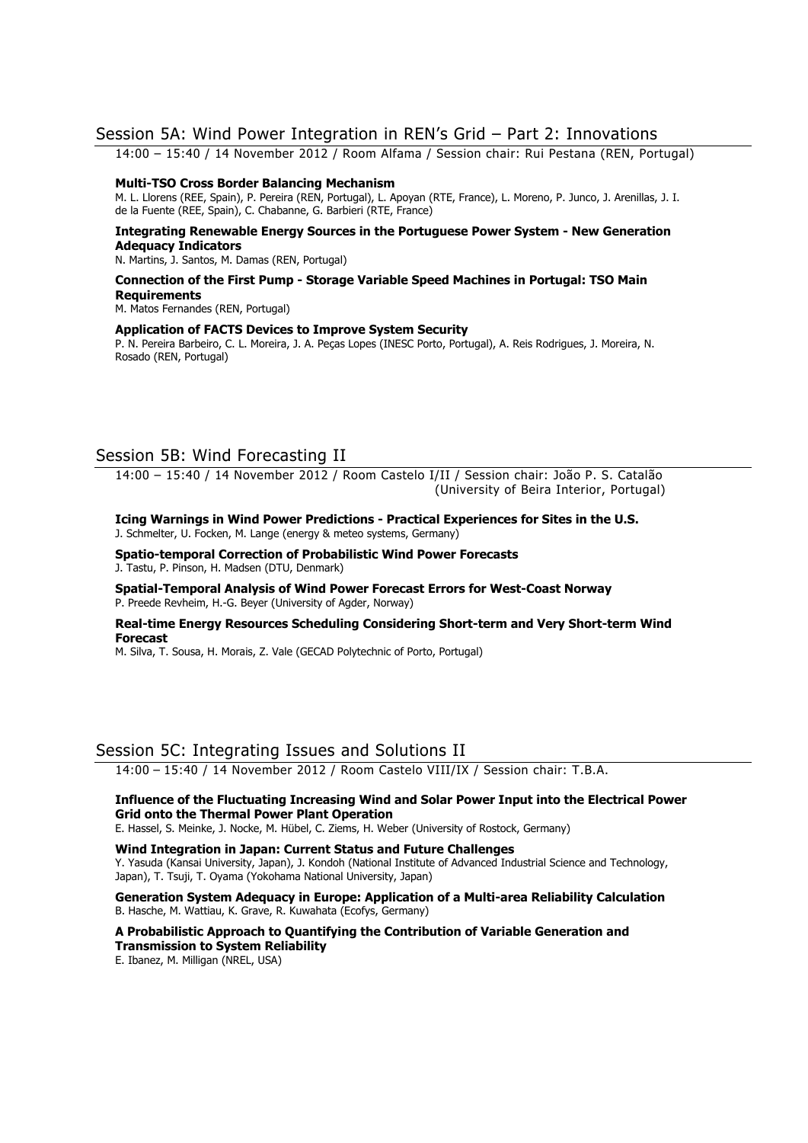# Session 5A: Wind Power Integration in REN's Grid – Part 2: Innovations

14:00 – 15:40 / 14 November 2012 / Room Alfama / Session chair: Rui Pestana (REN, Portugal)

#### **Multi-TSO Cross Border Balancing Mechanism**

M. L. Llorens (REE, Spain), P. Pereira (REN, Portugal), L. Apoyan (RTE, France), L. Moreno, P. Junco, J. Arenillas, J. I. de la Fuente (REE, Spain), C. Chabanne, G. Barbieri (RTE, France)

#### **Integrating Renewable Energy Sources in the Portuguese Power System - New Generation Adequacy Indicators**

N. Martins, J. Santos, M. Damas (REN, Portugal)

#### **Connection of the First Pump - Storage Variable Speed Machines in Portugal: TSO Main Requirements**

M. Matos Fernandes (REN, Portugal)

#### **Application of FACTS Devices to Improve System Security**

P. N. Pereira Barbeiro, C. L. Moreira, J. A. Peças Lopes (INESC Porto, Portugal), A. Reis Rodrigues, J. Moreira, N. Rosado (REN, Portugal)

# Session 5B: Wind Forecasting II

14:00 – 15:40 / 14 November 2012 / Room Castelo I/II / Session chair: João P. S. Catalão (University of Beira Interior, Portugal)

**Icing Warnings in Wind Power Predictions - Practical Experiences for Sites in the U.S.**  J. Schmelter, U. Focken, M. Lange (energy & meteo systems, Germany)

**Spatio-temporal Correction of Probabilistic Wind Power Forecasts**  J. Tastu, P. Pinson, H. Madsen (DTU, Denmark)

**Spatial-Temporal Analysis of Wind Power Forecast Errors for West-Coast Norway**  P. Preede Revheim, H.-G. Beyer (University of Agder, Norway)

#### **Real-time Energy Resources Scheduling Considering Short-term and Very Short-term Wind Forecast**

M. Silva, T. Sousa, H. Morais, Z. Vale (GECAD Polytechnic of Porto, Portugal)

# Session 5C: Integrating Issues and Solutions II

14:00 – 15:40 / 14 November 2012 / Room Castelo VIII/IX / Session chair: T.B.A.

#### **Influence of the Fluctuating Increasing Wind and Solar Power Input into the Electrical Power Grid onto the Thermal Power Plant Operation**

E. Hassel, S. Meinke, J. Nocke, M. Hübel, C. Ziems, H. Weber (University of Rostock, Germany)

**Wind Integration in Japan: Current Status and Future Challenges**  Y. Yasuda (Kansai University, Japan), J. Kondoh (National Institute of Advanced Industrial Science and Technology, Japan), T. Tsuji, T. Oyama (Yokohama National University, Japan)

**Generation System Adequacy in Europe: Application of a Multi-area Reliability Calculation**  B. Hasche, M. Wattiau, K. Grave, R. Kuwahata (Ecofys, Germany)

**A Probabilistic Approach to Quantifying the Contribution of Variable Generation and Transmission to System Reliability** 

E. Ibanez, M. Milligan (NREL, USA)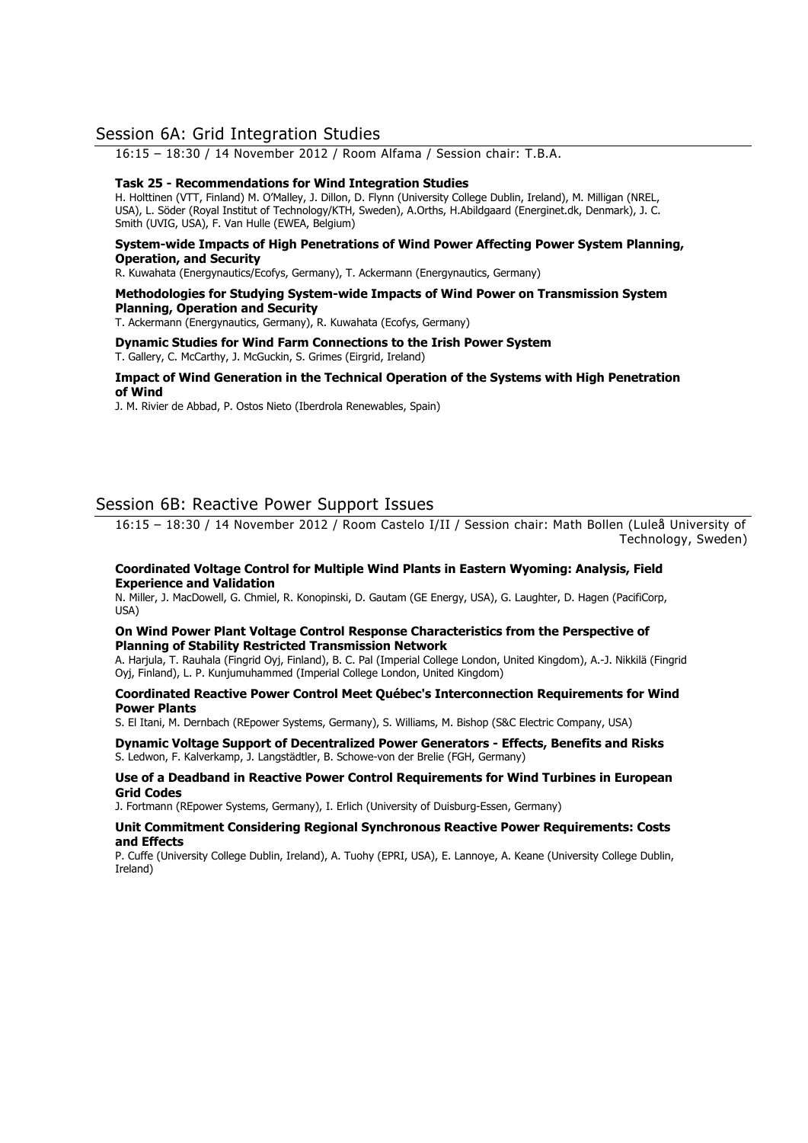# Session 6A: Grid Integration Studies

16:15 – 18:30 / 14 November 2012 / Room Alfama / Session chair: T.B.A.

#### **Task 25 - Recommendations for Wind Integration Studies**

H. Holttinen (VTT, Finland) M. O'Malley, J. Dillon, D. Flynn (University College Dublin, Ireland), M. Milligan (NREL, USA), L. Söder (Royal Institut of Technology/KTH, Sweden), A.Orths, H.Abildgaard (Energinet.dk, Denmark), J. C. Smith (UVIG, USA), F. Van Hulle (EWEA, Belgium)

#### **System-wide Impacts of High Penetrations of Wind Power Affecting Power System Planning, Operation, and Security**

R. Kuwahata (Energynautics/Ecofys, Germany), T. Ackermann (Energynautics, Germany)

#### **Methodologies for Studying System-wide Impacts of Wind Power on Transmission System Planning, Operation and Security**

T. Ackermann (Energynautics, Germany), R. Kuwahata (Ecofys, Germany)

**Dynamic Studies for Wind Farm Connections to the Irish Power System**  T. Gallery, C. McCarthy, J. McGuckin, S. Grimes (Eirgrid, Ireland)

#### **Impact of Wind Generation in the Technical Operation of the Systems with High Penetration of Wind**

J. M. Rivier de Abbad, P. Ostos Nieto (Iberdrola Renewables, Spain)

# Session 6B: Reactive Power Support Issues

16:15 – 18:30 / 14 November 2012 / Room Castelo I/II / Session chair: Math Bollen (Luleå University of Technology, Sweden)

#### **Coordinated Voltage Control for Multiple Wind Plants in Eastern Wyoming: Analysis, Field Experience and Validation**

N. Miller, J. MacDowell, G. Chmiel, R. Konopinski, D. Gautam (GE Energy, USA), G. Laughter, D. Hagen (PacifiCorp, USA)

#### **On Wind Power Plant Voltage Control Response Characteristics from the Perspective of Planning of Stability Restricted Transmission Network**

A. Harjula, T. Rauhala (Fingrid Oyj, Finland), B. C. Pal (Imperial College London, United Kingdom), A.-J. Nikkilä (Fingrid Oyj, Finland), L. P. Kunjumuhammed (Imperial College London, United Kingdom)

#### **Coordinated Reactive Power Control Meet Québec's Interconnection Requirements for Wind Power Plants**

S. El Itani, M. Dernbach (REpower Systems, Germany), S. Williams, M. Bishop (S&C Electric Company, USA)

#### **Dynamic Voltage Support of Decentralized Power Generators - Effects, Benefits and Risks**  S. Ledwon, F. Kalverkamp, J. Langstädtler, B. Schowe-von der Brelie (FGH, Germany)

#### **Use of a Deadband in Reactive Power Control Requirements for Wind Turbines in European Grid Codes**

J. Fortmann (REpower Systems, Germany), I. Erlich (University of Duisburg-Essen, Germany)

#### **Unit Commitment Considering Regional Synchronous Reactive Power Requirements: Costs and Effects**

P. Cuffe (University College Dublin, Ireland), A. Tuohy (EPRI, USA), E. Lannoye, A. Keane (University College Dublin, Ireland)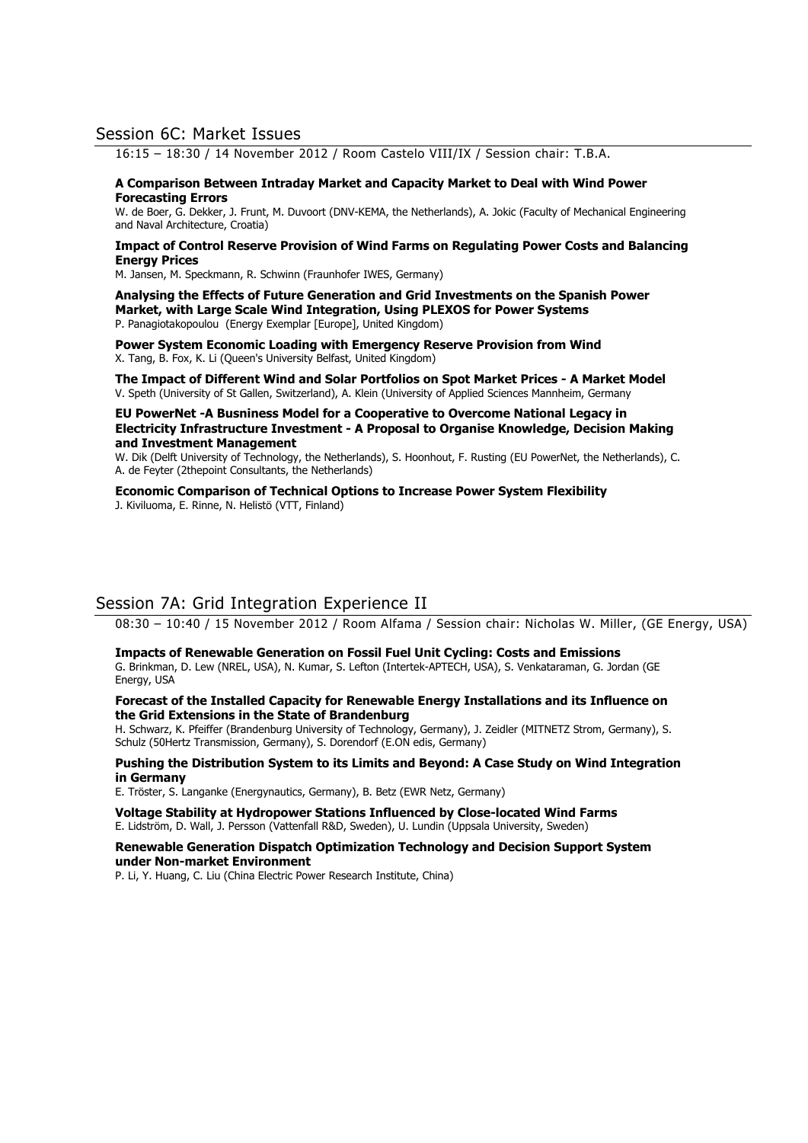# Session 6C: Market Issues

16:15 – 18:30 / 14 November 2012 / Room Castelo VIII/IX / Session chair: T.B.A.

#### **A Comparison Between Intraday Market and Capacity Market to Deal with Wind Power Forecasting Errors**

W. de Boer, G. Dekker, J. Frunt, M. Duvoort (DNV-KEMA, the Netherlands), A. Jokic (Faculty of Mechanical Engineering and Naval Architecture, Croatia)

#### **Impact of Control Reserve Provision of Wind Farms on Regulating Power Costs and Balancing Energy Prices**

M. Jansen, M. Speckmann, R. Schwinn (Fraunhofer IWES, Germany)

**Analysing the Effects of Future Generation and Grid Investments on the Spanish Power Market, with Large Scale Wind Integration, Using PLEXOS for Power Systems**  P. Panagiotakopoulou (Energy Exemplar [Europe], United Kingdom)

**Power System Economic Loading with Emergency Reserve Provision from Wind**  X. Tang, B. Fox, K. Li (Queen's University Belfast, United Kingdom)

**The Impact of Different Wind and Solar Portfolios on Spot Market Prices - A Market Model**  V. Speth (University of St Gallen, Switzerland), A. Klein (University of Applied Sciences Mannheim, Germany

#### **EU PowerNet -A Busniness Model for a Cooperative to Overcome National Legacy in Electricity Infrastructure Investment - A Proposal to Organise Knowledge, Decision Making and Investment Management**

W. Dik (Delft University of Technology, the Netherlands), S. Hoonhout, F. Rusting (EU PowerNet, the Netherlands), C. A. de Feyter (2thepoint Consultants, the Netherlands)

**Economic Comparison of Technical Options to Increase Power System Flexibility**  J. Kiviluoma, E. Rinne, N. Helistö (VTT, Finland)

# Session 7A: Grid Integration Experience II

08:30 – 10:40 / 15 November 2012 / Room Alfama / Session chair: Nicholas W. Miller, (GE Energy, USA)

#### **Impacts of Renewable Generation on Fossil Fuel Unit Cycling: Costs and Emissions**

G. Brinkman, D. Lew (NREL, USA), N. Kumar, S. Lefton (Intertek-APTECH, USA), S. Venkataraman, G. Jordan (GE Energy, USA

#### **Forecast of the Installed Capacity for Renewable Energy Installations and its Influence on the Grid Extensions in the State of Brandenburg**

H. Schwarz, K. Pfeiffer (Brandenburg University of Technology, Germany), J. Zeidler (MITNETZ Strom, Germany), S. Schulz (50Hertz Transmission, Germany), S. Dorendorf (E.ON edis, Germany)

#### **Pushing the Distribution System to its Limits and Beyond: A Case Study on Wind Integration in Germany**

E. Tröster, S. Langanke (Energynautics, Germany), B. Betz (EWR Netz, Germany)

**Voltage Stability at Hydropower Stations Influenced by Close-located Wind Farms**  E. Lidström, D. Wall, J. Persson (Vattenfall R&D, Sweden), U. Lundin (Uppsala University, Sweden)

#### **Renewable Generation Dispatch Optimization Technology and Decision Support System under Non-market Environment**

P. Li, Y. Huang, C. Liu (China Electric Power Research Institute, China)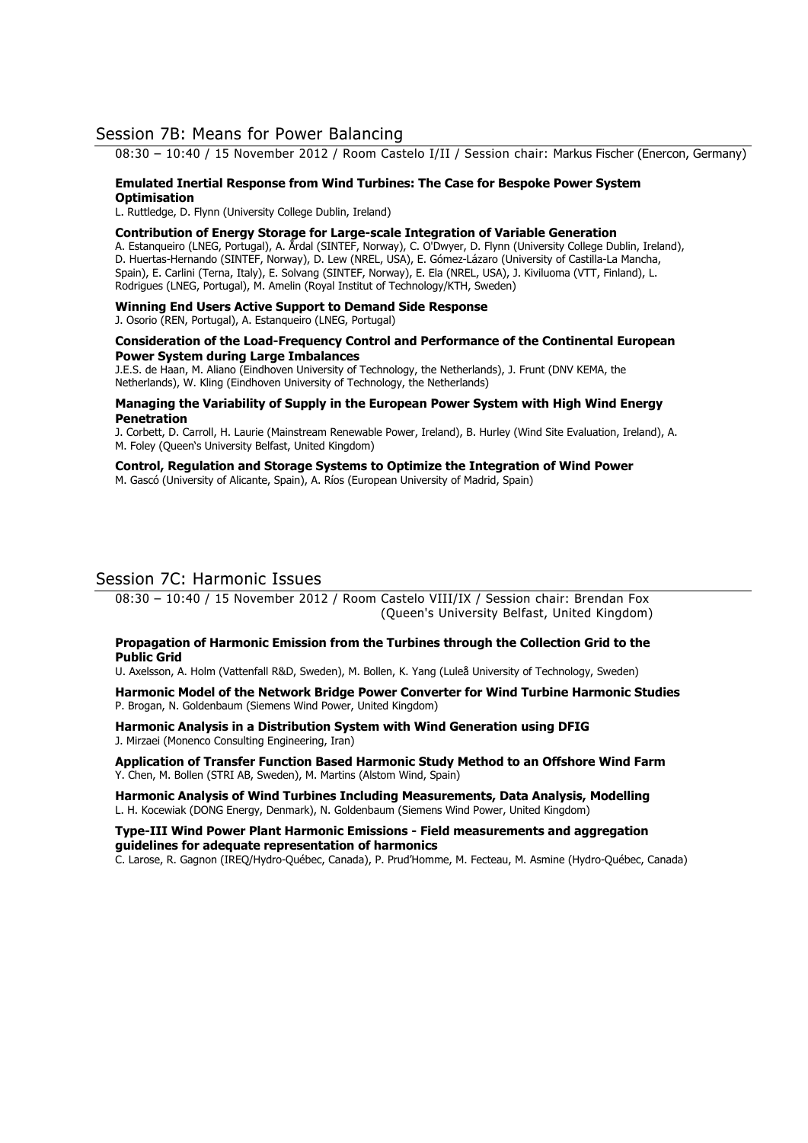# Session 7B: Means for Power Balancing

08:30 – 10:40 / 15 November 2012 / Room Castelo I/II / Session chair: Markus Fischer (Enercon, Germany)

#### **Emulated Inertial Response from Wind Turbines: The Case for Bespoke Power System**

#### **Optimisation**

L. Ruttledge, D. Flynn (University College Dublin, Ireland)

#### **Contribution of Energy Storage for Large-scale Integration of Variable Generation**

A. Estanqueiro (LNEG, Portugal), A. Årdal (SINTEF, Norway), C. O'Dwyer, D. Flynn (University College Dublin, Ireland), D. Huertas-Hernando (SINTEF, Norway), D. Lew (NREL, USA), E. Gómez-Lázaro (University of Castilla-La Mancha, Spain), E. Carlini (Terna, Italy), E. Solvang (SINTEF, Norway), E. Ela (NREL, USA), J. Kiviluoma (VTT, Finland), L. Rodrigues (LNEG, Portugal), M. Amelin (Royal Institut of Technology/KTH, Sweden)

# **Winning End Users Active Support to Demand Side Response**

J. Osorio (REN, Portugal), A. Estanqueiro (LNEG, Portugal)

#### **Consideration of the Load-Frequency Control and Performance of the Continental European Power System during Large Imbalances**

J.E.S. de Haan, M. Aliano (Eindhoven University of Technology, the Netherlands), J. Frunt (DNV KEMA, the Netherlands), W. Kling (Eindhoven University of Technology, the Netherlands)

#### **Managing the Variability of Supply in the European Power System with High Wind Energy Penetration**

J. Corbett, D. Carroll, H. Laurie (Mainstream Renewable Power, Ireland), B. Hurley (Wind Site Evaluation, Ireland), A. M. Foley (Queen's University Belfast, United Kingdom)

# **Control, Regulation and Storage Systems to Optimize the Integration of Wind Power**

M. Gascó (University of Alicante, Spain), A. Ríos (European University of Madrid, Spain)

# Session 7C: Harmonic Issues

08:30 – 10:40 / 15 November 2012 / Room Castelo VIII/IX / Session chair: Brendan Fox (Queen's University Belfast, United Kingdom)

#### **Propagation of Harmonic Emission from the Turbines through the Collection Grid to the Public Grid**

U. Axelsson, A. Holm (Vattenfall R&D, Sweden), M. Bollen, K. Yang (Luleå University of Technology, Sweden)

**Harmonic Model of the Network Bridge Power Converter for Wind Turbine Harmonic Studies**  P. Brogan, N. Goldenbaum (Siemens Wind Power, United Kingdom)

**Harmonic Analysis in a Distribution System with Wind Generation using DFIG**  J. Mirzaei (Monenco Consulting Engineering, Iran)

**Application of Transfer Function Based Harmonic Study Method to an Offshore Wind Farm**  Y. Chen, M. Bollen (STRI AB, Sweden), M. Martins (Alstom Wind, Spain)

**Harmonic Analysis of Wind Turbines Including Measurements, Data Analysis, Modelling**  L. H. Kocewiak (DONG Energy, Denmark), N. Goldenbaum (Siemens Wind Power, United Kingdom)

**Type-III Wind Power Plant Harmonic Emissions - Field measurements and aggregation guidelines for adequate representation of harmonics** 

C. Larose, R. Gagnon (IREQ/Hydro-Québec, Canada), P. Prud'Homme, M. Fecteau, M. Asmine (Hydro-Québec, Canada)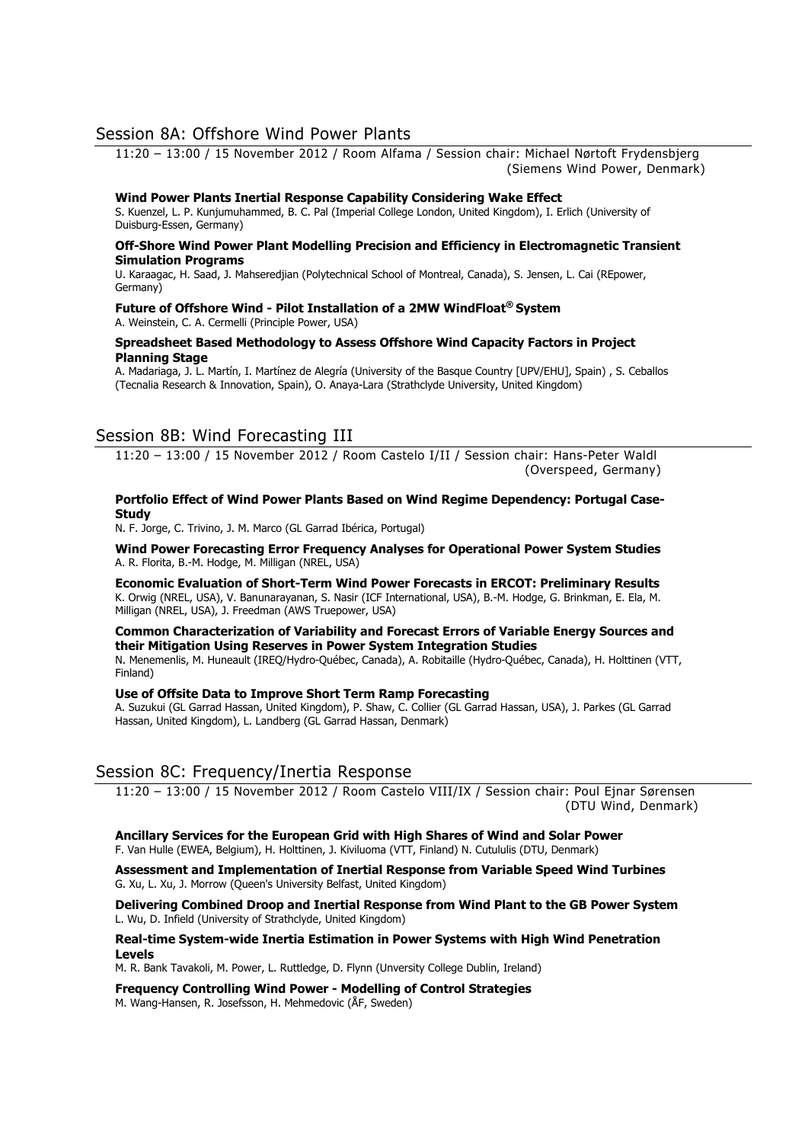# Session 8A: Offshore Wind Power Plants

11:20 – 13:00 / 15 November 2012 / Room Alfama / Session chair: Michael Nørtoft Frydensbjerg (Siemens Wind Power, Denmark)

#### **Wind Power Plants Inertial Response Capability Considering Wake Effect**

S. Kuenzel, L. P. Kunjumuhammed, B. C. Pal (Imperial College London, United Kingdom), I. Erlich (University of Duisburg-Essen, Germany)

#### **Off-Shore Wind Power Plant Modelling Precision and Efficiency in Electromagnetic Transient Simulation Programs**

U. Karaagac, H. Saad, J. Mahseredjian (Polytechnical School of Montreal, Canada), S. Jensen, L. Cai (REpower, Germany)

#### **Future of Offshore Wind - Pilot Installation of a 2MW WindFloat® System**  A. Weinstein, C. A. Cermelli (Principle Power, USA)

#### **Spreadsheet Based Methodology to Assess Offshore Wind Capacity Factors in Project Planning Stage**

A. Madariaga, J. L. Martín, I. Martínez de Alegría (University of the Basque Country [UPV/EHU], Spain) , S. Ceballos (Tecnalia Research & Innovation, Spain), O. Anaya-Lara (Strathclyde University, United Kingdom)

# Session 8B: Wind Forecasting III

11:20 – 13:00 / 15 November 2012 / Room Castelo I/II / Session chair: Hans-Peter Waldl (Overspeed, Germany)

#### **Portfolio Effect of Wind Power Plants Based on Wind Regime Dependency: Portugal Case-Study**

N. F. Jorge, C. Trivino, J. M. Marco (GL Garrad Ibérica, Portugal)

**Wind Power Forecasting Error Frequency Analyses for Operational Power System Studies**  A. R. Florita, B.-M. Hodge, M. Milligan (NREL, USA)

**Economic Evaluation of Short-Term Wind Power Forecasts in ERCOT: Preliminary Results**  K. Orwig (NREL, USA), V. Banunarayanan, S. Nasir (ICF International, USA), B.-M. Hodge, G. Brinkman, E. Ela, M. Milligan (NREL, USA), J. Freedman (AWS Truepower, USA)

#### **Common Characterization of Variability and Forecast Errors of Variable Energy Sources and their Mitigation Using Reserves in Power System Integration Studies**

N. Menemenlis, M. Huneault (IREQ/Hydro-Québec, Canada), A. Robitaille (Hydro-Québec, Canada), H. Holttinen (VTT, Finland)

## **Use of Offsite Data to Improve Short Term Ramp Forecasting**

A. Suzukui (GL Garrad Hassan, United Kingdom), P. Shaw, C. Collier (GL Garrad Hassan, USA), J. Parkes (GL Garrad Hassan, United Kingdom), L. Landberg (GL Garrad Hassan, Denmark)

# Session 8C: Frequency/Inertia Response

11:20 – 13:00 / 15 November 2012 / Room Castelo VIII/IX / Session chair: Poul Ejnar Sørensen (DTU Wind, Denmark)

**Ancillary Services for the European Grid with High Shares of Wind and Solar Power**  F. Van Hulle (EWEA, Belgium), H. Holttinen, J. Kiviluoma (VTT, Finland) N. Cutululis (DTU, Denmark)

**Assessment and Implementation of Inertial Response from Variable Speed Wind Turbines**  G. Xu, L. Xu, J. Morrow (Queen's University Belfast, United Kingdom)

**Delivering Combined Droop and Inertial Response from Wind Plant to the GB Power System**  L. Wu, D. Infield (University of Strathclyde, United Kingdom)

#### **Real-time System-wide Inertia Estimation in Power Systems with High Wind Penetration Levels**

M. R. Bank Tavakoli, M. Power, L. Ruttledge, D. Flynn (Unversity College Dublin, Ireland)

# **Frequency Controlling Wind Power - Modelling of Control Strategies**

M. Wang-Hansen, R. Josefsson, H. Mehmedovic (ÅF, Sweden)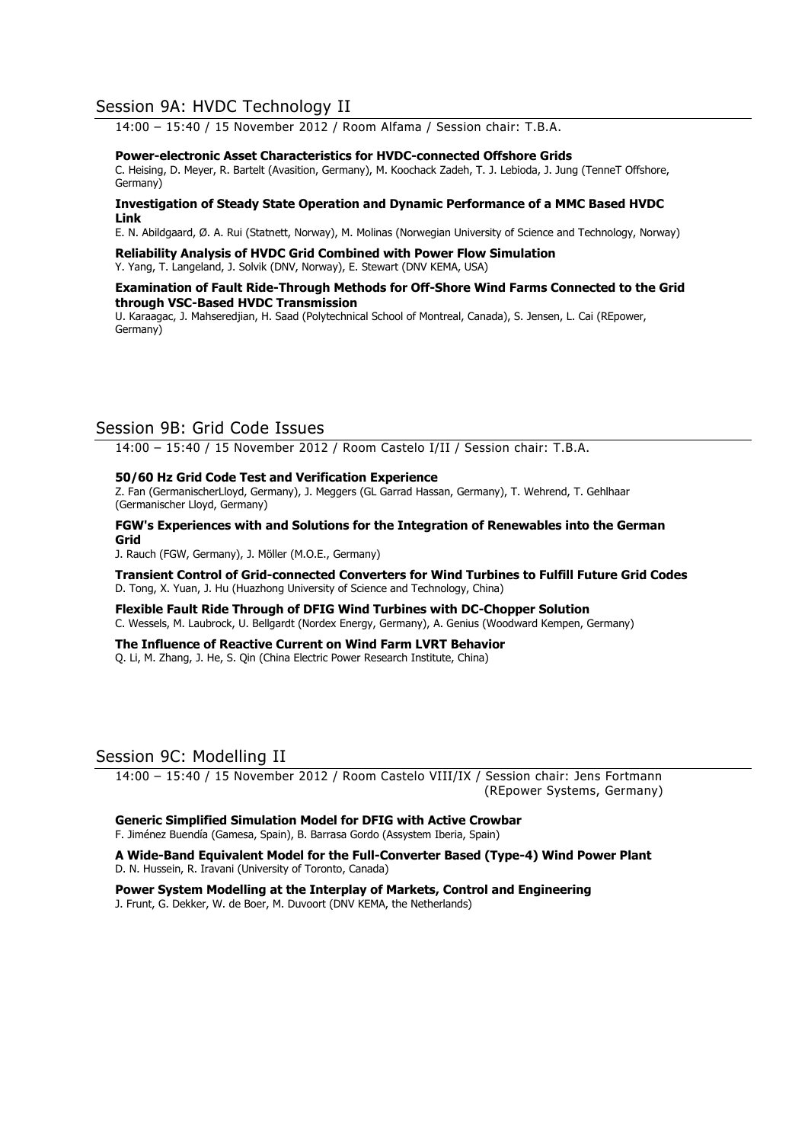# Session 9A: HVDC Technology II

14:00 – 15:40 / 15 November 2012 / Room Alfama / Session chair: T.B.A.

#### **Power-electronic Asset Characteristics for HVDC-connected Offshore Grids**

C. Heising, D. Meyer, R. Bartelt (Avasition, Germany), M. Koochack Zadeh, T. J. Lebioda, J. Jung (TenneT Offshore, Germany)

#### **Investigation of Steady State Operation and Dynamic Performance of a MMC Based HVDC Link**

E. N. Abildgaard, Ø. A. Rui (Statnett, Norway), M. Molinas (Norwegian University of Science and Technology, Norway)

**Reliability Analysis of HVDC Grid Combined with Power Flow Simulation**  Y. Yang, T. Langeland, J. Solvik (DNV, Norway), E. Stewart (DNV KEMA, USA)

#### **Examination of Fault Ride-Through Methods for Off-Shore Wind Farms Connected to the Grid through VSC-Based HVDC Transmission**

U. Karaagac, J. Mahseredjian, H. Saad (Polytechnical School of Montreal, Canada), S. Jensen, L. Cai (REpower, Germany)

# Session 9B: Grid Code Issues

14:00 – 15:40 / 15 November 2012 / Room Castelo I/II / Session chair: T.B.A.

#### **50/60 Hz Grid Code Test and Verification Experience**

Z. Fan (GermanischerLloyd, Germany), J. Meggers (GL Garrad Hassan, Germany), T. Wehrend, T. Gehlhaar (Germanischer Lloyd, Germany)

**FGW's Experiences with and Solutions for the Integration of Renewables into the German Grid** 

J. Rauch (FGW, Germany), J. Möller (M.O.E., Germany)

**Transient Control of Grid-connected Converters for Wind Turbines to Fulfill Future Grid Codes** D. Tong, X. Yuan, J. Hu (Huazhong University of Science and Technology, China)

**Flexible Fault Ride Through of DFIG Wind Turbines with DC-Chopper Solution**  C. Wessels, M. Laubrock, U. Bellgardt (Nordex Energy, Germany), A. Genius (Woodward Kempen, Germany)

# **The Influence of Reactive Current on Wind Farm LVRT Behavior**

Q. Li, M. Zhang, J. He, S. Qin (China Electric Power Research Institute, China)

# Session 9C: Modelling II

14:00 – 15:40 / 15 November 2012 / Room Castelo VIII/IX / Session chair: Jens Fortmann (REpower Systems, Germany)

**Generic Simplified Simulation Model for DFIG with Active Crowbar**  F. Jiménez Buendía (Gamesa, Spain), B. Barrasa Gordo (Assystem Iberia, Spain)

#### **A Wide-Band Equivalent Model for the Full-Converter Based (Type-4) Wind Power Plant**  D. N. Hussein, R. Iravani (University of Toronto, Canada)

**Power System Modelling at the Interplay of Markets, Control and Engineering**  J. Frunt, G. Dekker, W. de Boer, M. Duvoort (DNV KEMA, the Netherlands)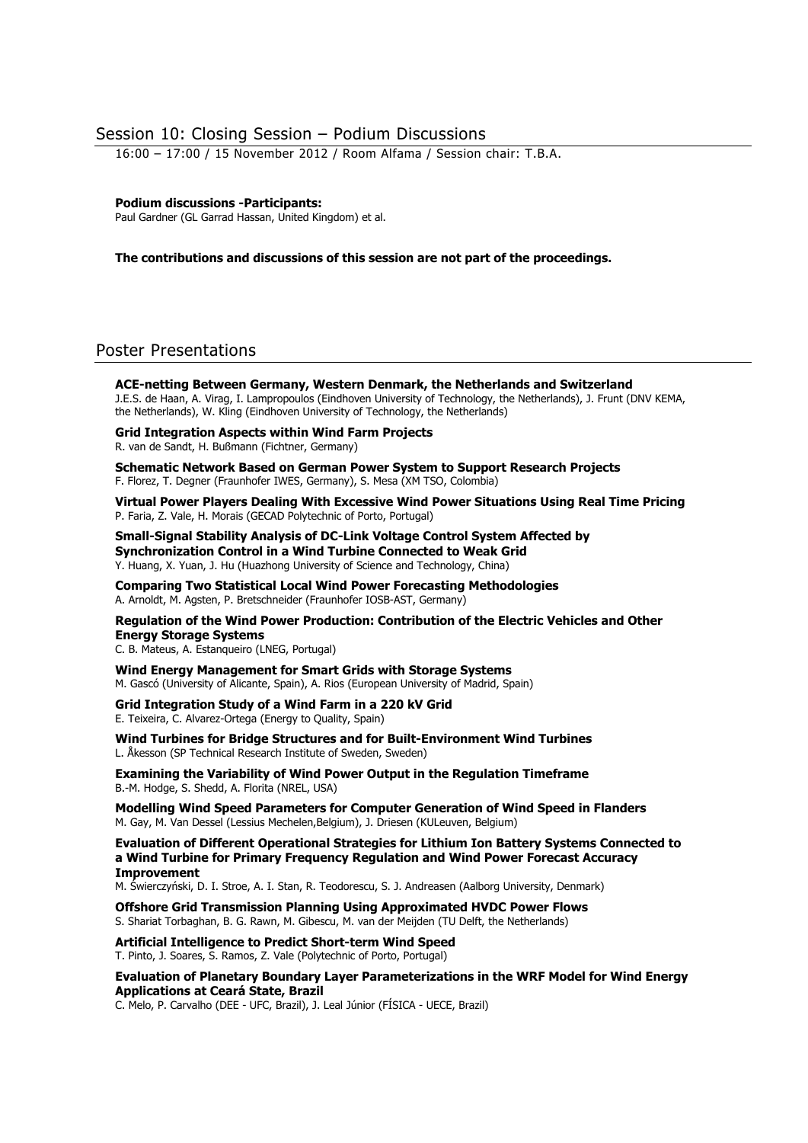# Session 10: Closing Session – Podium Discussions

16:00 – 17:00 / 15 November 2012 / Room Alfama / Session chair: T.B.A.

#### **Podium discussions -Participants:**

Paul Gardner (GL Garrad Hassan, United Kingdom) et al.

#### **The contributions and discussions of this session are not part of the proceedings.**

# Poster Presentations

**ACE-netting Between Germany, Western Denmark, the Netherlands and Switzerland**  J.E.S. de Haan, A. Virag, I. Lampropoulos (Eindhoven University of Technology, the Netherlands), J. Frunt (DNV KEMA, the Netherlands), W. Kling (Eindhoven University of Technology, the Netherlands)

**Grid Integration Aspects within Wind Farm Projects** 

R. van de Sandt, H. Bußmann (Fichtner, Germany)

**Schematic Network Based on German Power System to Support Research Projects**  F. Florez, T. Degner (Fraunhofer IWES, Germany), S. Mesa (XM TSO, Colombia)

**Virtual Power Players Dealing With Excessive Wind Power Situations Using Real Time Pricing**  P. Faria, Z. Vale, H. Morais (GECAD Polytechnic of Porto, Portugal)

**Small-Signal Stability Analysis of DC-Link Voltage Control System Affected by Synchronization Control in a Wind Turbine Connected to Weak Grid**  Y. Huang, X. Yuan, J. Hu (Huazhong University of Science and Technology, China)

**Comparing Two Statistical Local Wind Power Forecasting Methodologies**  A. Arnoldt, M. Agsten, P. Bretschneider (Fraunhofer IOSB-AST, Germany)

**Regulation of the Wind Power Production: Contribution of the Electric Vehicles and Other Energy Storage Systems** 

C. B. Mateus, A. Estanqueiro (LNEG, Portugal)

**Wind Energy Management for Smart Grids with Storage Systems**  M. Gascó (University of Alicante, Spain), A. Rios (European University of Madrid, Spain)

**Grid Integration Study of a Wind Farm in a 220 kV Grid**  E. Teixeira, C. Alvarez-Ortega (Energy to Quality, Spain)

**Wind Turbines for Bridge Structures and for Built-Environment Wind Turbines**  L. Åkesson (SP Technical Research Institute of Sweden, Sweden)

**Examining the Variability of Wind Power Output in the Regulation Timeframe**  B.-M. Hodge, S. Shedd, A. Florita (NREL, USA)

**Modelling Wind Speed Parameters for Computer Generation of Wind Speed in Flanders**  M. Gay, M. Van Dessel (Lessius Mechelen,Belgium), J. Driesen (KULeuven, Belgium)

**Evaluation of Different Operational Strategies for Lithium Ion Battery Systems Connected to a Wind Turbine for Primary Frequency Regulation and Wind Power Forecast Accuracy Improvement** 

M. Świerczyński, D. I. Stroe, A. I. Stan, R. Teodorescu, S. J. Andreasen (Aalborg University, Denmark)

**Offshore Grid Transmission Planning Using Approximated HVDC Power Flows**  S. Shariat Torbaghan, B. G. Rawn, M. Gibescu, M. van der Meijden (TU Delft, the Netherlands)

**Artificial Intelligence to Predict Short-term Wind Speed**  T. Pinto, J. Soares, S. Ramos, Z. Vale (Polytechnic of Porto, Portugal)

**Evaluation of Planetary Boundary Layer Parameterizations in the WRF Model for Wind Energy Applications at Ceará State, Brazil** 

C. Melo, P. Carvalho (DEE - UFC, Brazil), J. Leal Júnior (FÍSICA - UECE, Brazil)